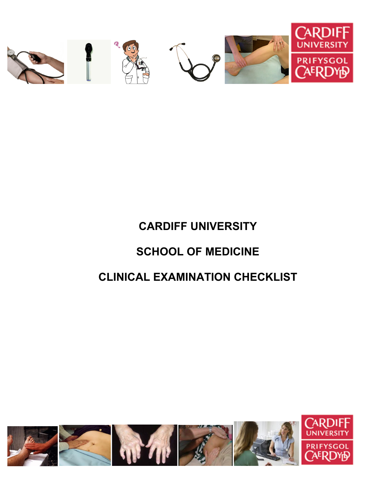

# **CLINICAL EXAMINATION CHECKLIST**

# **SCHOOL OF MEDICINE**

# **CARDIFF UNIVERSITY**

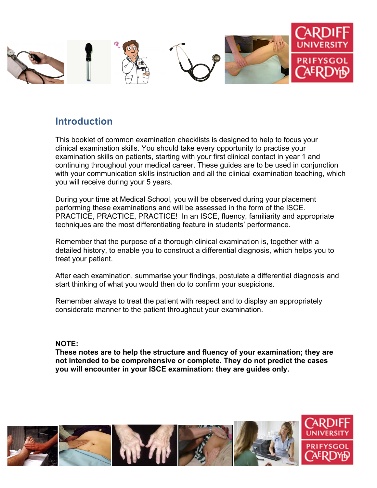

#### **Introduction**

This booklet of common examination checklists is designed to help to focus your clinical examination skills. You should take every opportunity to practise your examination skills on patients, starting with your first clinical contact in year 1 and continuing throughout your medical career. These guides are to be used in conjunction with your communication skills instruction and all the clinical examination teaching, which you will receive during your 5 years.

During your time at Medical School, you will be observed during your placement performing these examinations and will be assessed in the form of the ISCE. PRACTICE, PRACTICE, PRACTICE! In an ISCE, fluency, familiarity and appropriate techniques are the most differentiating feature in students' performance.

Remember that the purpose of a thorough clinical examination is, together with a detailed history, to enable you to construct a differential diagnosis, which helps you to treat your patient.

After each examination, summarise your findings, postulate a differential diagnosis and start thinking of what you would then do to confirm your suspicions.

Remember always to treat the patient with respect and to display an appropriately considerate manner to the patient throughout your examination.

#### **NOTE:**

**These notes are to help the structure and fluency of your examination; they are not intended to be comprehensive or complete. They do not predict the cases you will encounter in your ISCE examination: they are guides only.** 

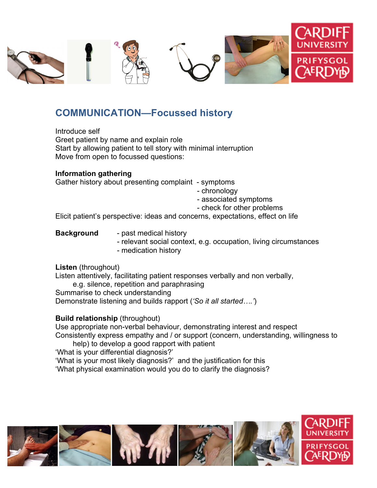

## **COMMUNICATION—Focussed history**

Introduce self Greet patient by name and explain role Start by allowing patient to tell story with minimal interruption Move from open to focussed questions:

#### **Information gathering**

Gather history about presenting complaint - symptoms

- chronology
- associated symptoms
- check for other problems

Elicit patient's perspective: ideas and concerns, expectations, effect on life

- **Background** past medical history
	- relevant social context, e.g. occupation, living circumstances
	- medication history

#### **Listen** (throughout)

Listen attentively, facilitating patient responses verbally and non verbally,

e.g. silence, repetition and paraphrasing Summarise to check understanding

Demonstrate listening and builds rapport (*'So it all started….'*)

#### **Build relationship** (throughout)

Use appropriate non-verbal behaviour, demonstrating interest and respect Consistently express empathy and / or support (concern, understanding, willingness to

help) to develop a good rapport with patient 'What is your differential diagnosis?' 'What is your most likely diagnosis?' and the justification for this

'What physical examination would you do to clarify the diagnosis?

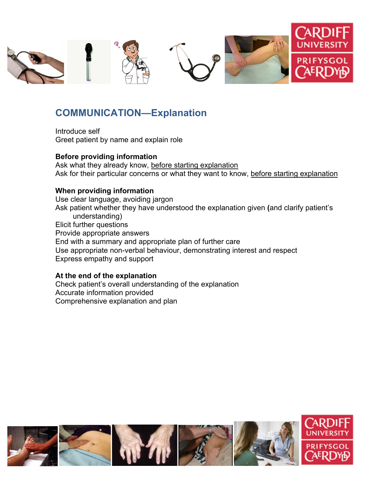

## **COMMUNICATION—Explanation**

Introduce self Greet patient by name and explain role

#### **Before providing information**

Ask what they already know, before starting explanation Ask for their particular concerns or what they want to know, before starting explanation

#### **When providing information**

Use clear language, avoiding jargon Ask patient whether they have understood the explanation given **(**and clarify patient's understanding) Elicit further questions Provide appropriate answers End with a summary and appropriate plan of further care Use appropriate non-verbal behaviour, demonstrating interest and respect Express empathy and support

#### **At the end of the explanation**

Check patient's overall understanding of the explanation Accurate information provided Comprehensive explanation and plan

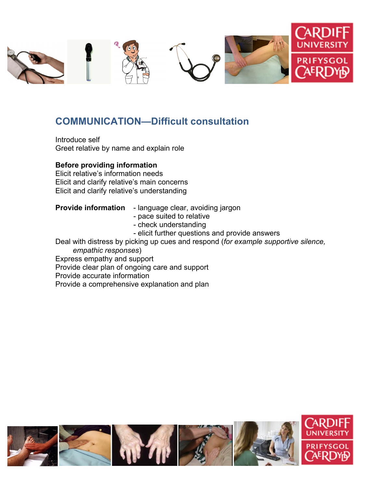

### **COMMUNICATION—Difficult consultation**

Introduce self Greet relative by name and explain role

#### **Before providing information**

Elicit relative's information needs Elicit and clarify relative's main concerns Elicit and clarify relative's understanding

#### **Provide information** - language clear, avoiding jargon

- pace suited to relative
	- check understanding
- elicit further questions and provide answers

Deal with distress by picking up cues and respond (*for example supportive silence, empathic responses*)

Express empathy and support

Provide clear plan of ongoing care and support

Provide accurate information

Provide a comprehensive explanation and plan

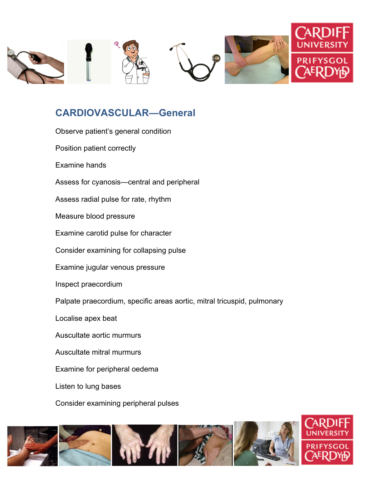

## **CARDIOVASCULAR—General**

| Observe patient's general condition                                     |
|-------------------------------------------------------------------------|
| Position patient correctly                                              |
| Examine hands                                                           |
| Assess for cyanosis—central and peripheral                              |
| Assess radial pulse for rate, rhythm                                    |
| Measure blood pressure                                                  |
| Examine carotid pulse for character                                     |
| Consider examining for collapsing pulse                                 |
| Examine jugular venous pressure                                         |
| Inspect praecordium                                                     |
| Palpate praecordium, specific areas aortic, mitral tricuspid, pulmonary |
| Localise apex beat                                                      |
| Auscultate aortic murmurs                                               |
| Auscultate mitral murmurs                                               |
| Examine for peripheral oedema                                           |
| Listen to lung bases                                                    |
| Consider examining peripheral pulses                                    |

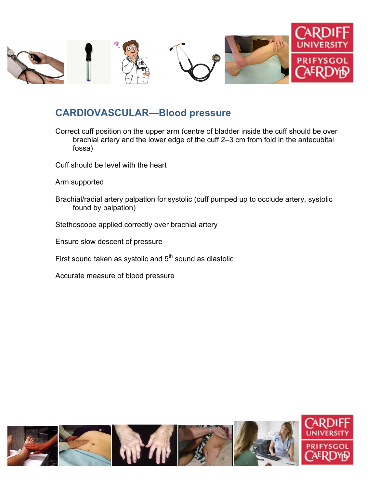

#### **CARDIOVASCULAR—Blood pressure**

- Correct cuff position on the upper arm (centre of bladder inside the cuff should be over brachial artery and the lower edge of the cuff 2–3 cm from fold in the antecubital fossa)
- Cuff should be level with the heart
- Arm supported
- Brachial/radial artery palpation for systolic (cuff pumped up to occlude artery, systolic found by palpation)
- Stethoscope applied correctly over brachial artery
- Ensure slow descent of pressure
- First sound taken as systolic and  $5<sup>th</sup>$  sound as diastolic
- Accurate measure of blood pressure

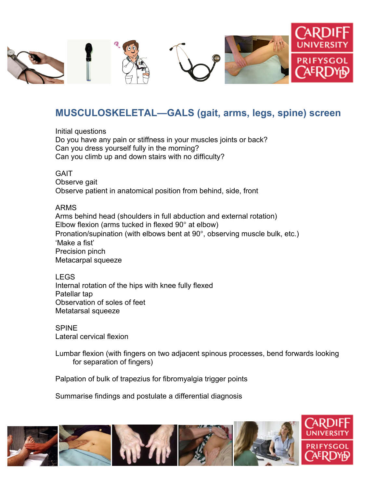

## **MUSCULOSKELETAL—GALS (gait, arms, legs, spine) screen**

Initial questions Do you have any pain or stiffness in your muscles joints or back? Can you dress yourself fully in the morning? Can you climb up and down stairs with no difficulty?

**GAIT** Observe gait Observe patient in anatomical position from behind, side, front

ARMS Arms behind head (shoulders in full abduction and external rotation) Elbow flexion (arms tucked in flexed 90° at elbow) Pronation/supination (with elbows bent at 90°, observing muscle bulk, etc.) 'Make a fist' Precision pinch Metacarpal squeeze

LEGS Internal rotation of the hips with knee fully flexed Patellar tap Observation of soles of feet Metatarsal squeeze

SPINE Lateral cervical flexion

Lumbar flexion (with fingers on two adjacent spinous processes, bend forwards looking for separation of fingers)

Palpation of bulk of trapezius for fibromyalgia trigger points

Summarise findings and postulate a differential diagnosis

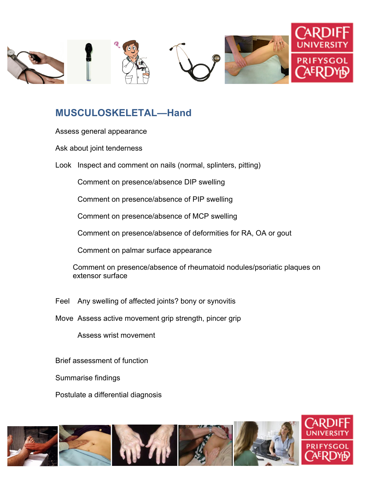

## **MUSCULOSKELETAL—Hand**

- Assess general appearance
- Ask about joint tenderness
- Look Inspect and comment on nails (normal, splinters, pitting)
	- Comment on presence/absence DIP swelling
	- Comment on presence/absence of PIP swelling
	- Comment on presence/absence of MCP swelling
	- Comment on presence/absence of deformities for RA, OA or gout
	- Comment on palmar surface appearance
	- Comment on presence/absence of rheumatoid nodules/psoriatic plaques on extensor surface
- Feel Any swelling of affected joints? bony or synovitis
- Move Assess active movement grip strength, pincer grip
	- Assess wrist movement
- Brief assessment of function
- Summarise findings
- Postulate a differential diagnosis

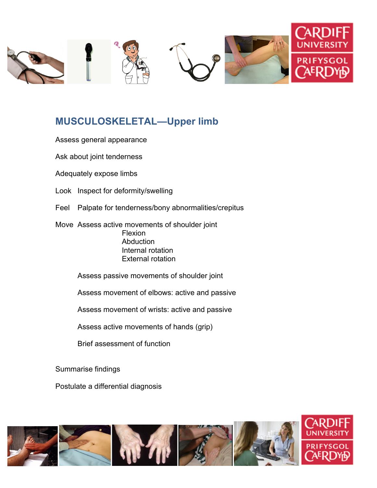

#### **MUSCULOSKELETAL—Upper limb**

- Assess general appearance
- Ask about joint tenderness
- Adequately expose limbs
- Look Inspect for deformity/swelling
- Feel Palpate for tenderness/bony abnormalities/crepitus
- Move Assess active movements of shoulder joint Flexion Abduction Internal rotation External rotation
	- Assess passive movements of shoulder joint
	- Assess movement of elbows: active and passive
	- Assess movement of wrists: active and passive
	- Assess active movements of hands (grip)
	- Brief assessment of function
- Summarise findings
- Postulate a differential diagnosis

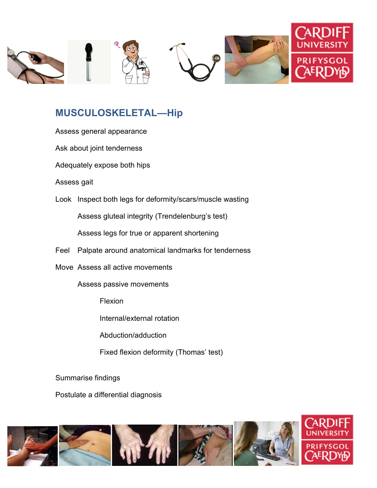

## **MUSCULOSKELETAL—Hip**

- Assess general appearance
- Ask about joint tenderness
- Adequately expose both hips
- Assess gait
- Look Inspect both legs for deformity/scars/muscle wasting

Assess gluteal integrity (Trendelenburg's test)

Assess legs for true or apparent shortening

- Feel Palpate around anatomical landmarks for tenderness
- Move Assess all active movements
	- Assess passive movements
		- Flexion
		- Internal/external rotation
		- Abduction/adduction
		- Fixed flexion deformity (Thomas' test)
- Summarise findings
- Postulate a differential diagnosis

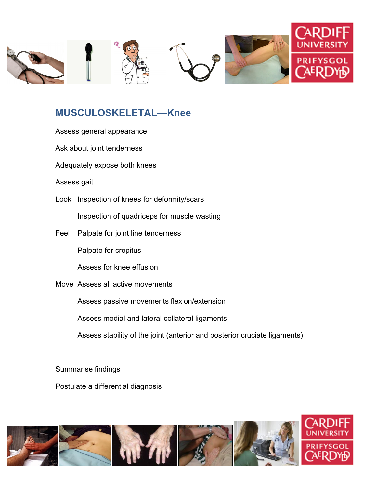

## **MUSCULOSKELETAL—Knee**

- Assess general appearance
- Ask about joint tenderness
- Adequately expose both knees
- Assess gait
- Look Inspection of knees for deformity/scars

Inspection of quadriceps for muscle wasting

Feel Palpate for joint line tenderness

Palpate for crepitus

Assess for knee effusion

Move Assess all active movements

Assess passive movements flexion/extension

Assess medial and lateral collateral ligaments

Assess stability of the joint (anterior and posterior cruciate ligaments)

Summarise findings

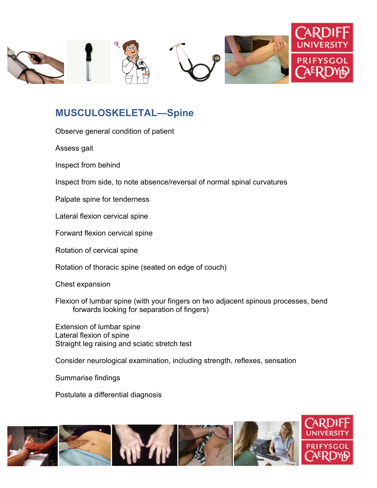

## **MUSCULOSKELETAL—Spine**

Observe general condition of patient

Assess gait

Inspect from behind

Inspect from side, to note absence/reversal of normal spinal curvatures

Palpate spine for tenderness

Lateral flexion cervical spine

Forward flexion cervical spine

Rotation of cervical spine

Rotation of thoracic spine (seated on edge of couch)

Chest expansion

Flexion of lumbar spine (with your fingers on two adjacent spinous processes, bend forwards looking for separation of fingers)

Extension of lumbar spine Lateral flexion of spine Straight leg raising and sciatic stretch test

Consider neurological examination, including strength, reflexes, sensation

Summarise findings

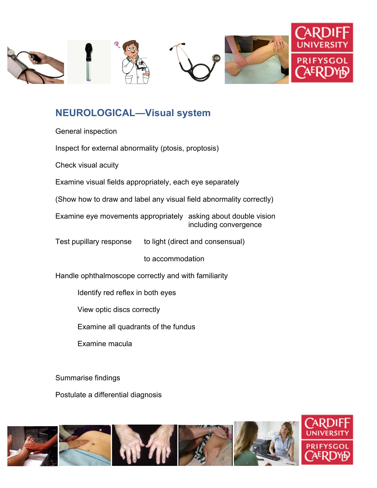

## **NEUROLOGICAL—Visual system**

General inspection

Inspect for external abnormality (ptosis, proptosis)

Check visual acuity

Examine visual fields appropriately, each eye separately

(Show how to draw and label any visual field abnormality correctly)

Examine eye movements appropriately asking about double vision including convergence

Test pupillary response to light (direct and consensual)

to accommodation

Handle ophthalmoscope correctly and with familiarity

Identify red reflex in both eyes

View optic discs correctly

Examine all quadrants of the fundus

Examine macula

Summarise findings

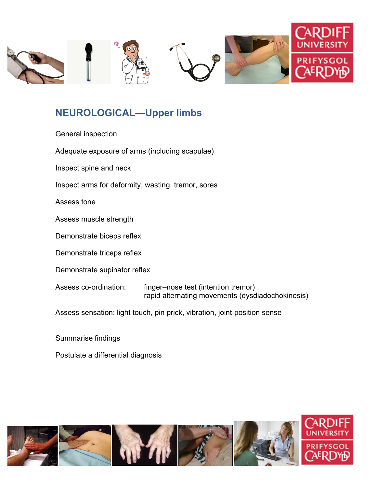

## **NEUROLOGICAL—Upper limbs**

| General inspection                                                        |                                                                                         |  |
|---------------------------------------------------------------------------|-----------------------------------------------------------------------------------------|--|
| Adequate exposure of arms (including scapulae)                            |                                                                                         |  |
| Inspect spine and neck                                                    |                                                                                         |  |
| Inspect arms for deformity, wasting, tremor, sores                        |                                                                                         |  |
| Assess tone                                                               |                                                                                         |  |
| Assess muscle strength                                                    |                                                                                         |  |
| Demonstrate biceps reflex                                                 |                                                                                         |  |
| Demonstrate triceps reflex                                                |                                                                                         |  |
| Demonstrate supinator reflex                                              |                                                                                         |  |
| Assess co-ordination:                                                     | finger–nose test (intention tremor)<br>rapid alternating movements (dysdiadochokinesis) |  |
| Assess sensation: light touch, pin prick, vibration, joint-position sense |                                                                                         |  |
| Cummatica findings                                                        |                                                                                         |  |

Summarise findings

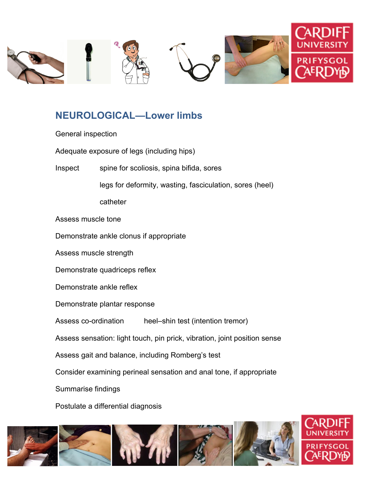

## **NEUROLOGICAL—Lower limbs**

- General inspection
- Adequate exposure of legs (including hips)
- Inspect spine for scoliosis, spina bifida, sores

legs for deformity, wasting, fasciculation, sores (heel)

catheter

- Assess muscle tone
- Demonstrate ankle clonus if appropriate
- Assess muscle strength
- Demonstrate quadriceps reflex
- Demonstrate ankle reflex
- Demonstrate plantar response

Assess co-ordination heel–shin test (intention tremor)

- Assess sensation: light touch, pin prick, vibration, joint position sense
- Assess gait and balance, including Romberg's test
- Consider examining perineal sensation and anal tone, if appropriate
- Summarise findings

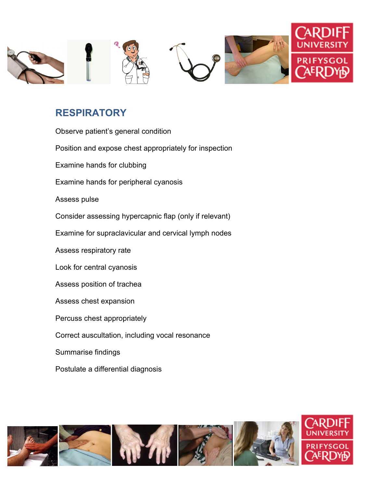

## **RESPIRATORY**

| Observe patient's general condition                    |
|--------------------------------------------------------|
| Position and expose chest appropriately for inspection |
| Examine hands for clubbing                             |
| Examine hands for peripheral cyanosis                  |
| Assess pulse                                           |
| Consider assessing hypercapnic flap (only if relevant) |
| Examine for supraclavicular and cervical lymph nodes   |
| Assess respiratory rate                                |
| Look for central cyanosis                              |
| Assess position of trachea                             |
| Assess chest expansion                                 |
| Percuss chest appropriately                            |
| Correct auscultation, including vocal resonance        |
| Summarise findings                                     |
| Postulate a differential diagnosis                     |

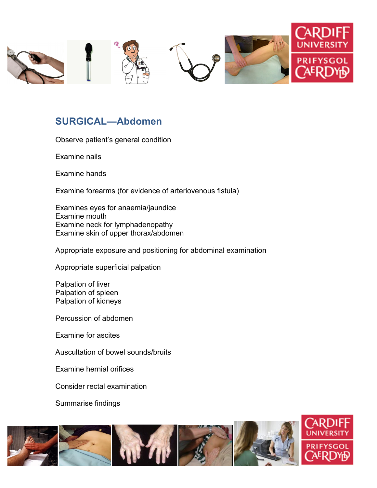

#### **SURGICAL—Abdomen**

Observe patient's general condition

Examine nails

Examine hands

Examine forearms (for evidence of arteriovenous fistula)

Examines eyes for anaemia/jaundice Examine mouth Examine neck for lymphadenopathy Examine skin of upper thorax/abdomen

Appropriate exposure and positioning for abdominal examination

Appropriate superficial palpation

Palpation of liver Palpation of spleen Palpation of kidneys

Percussion of abdomen

Examine for ascites

Auscultation of bowel sounds/bruits

Examine hernial orifices

Consider rectal examination

Summarise findings

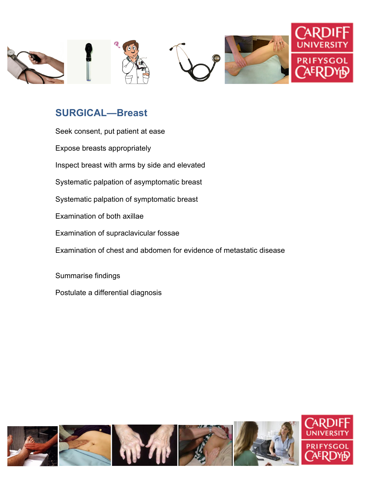

## **SURGICAL—Breast**

| Seek consent, put patient at ease                                   |
|---------------------------------------------------------------------|
| Expose breasts appropriately                                        |
| Inspect breast with arms by side and elevated                       |
| Systematic palpation of asymptomatic breast                         |
| Systematic palpation of symptomatic breast                          |
| Examination of both axillae                                         |
| Examination of supraclavicular fossae                               |
| Examination of chest and abdomen for evidence of metastatic disease |
|                                                                     |
| Summarise findings                                                  |
| Postulate a differential diagnosis                                  |

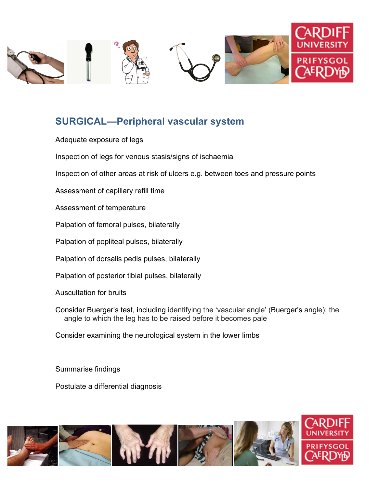

## **SURGICAL—Peripheral vascular system**

- Adequate exposure of legs
- Inspection of legs for venous stasis/signs of ischaemia
- Inspection of other areas at risk of ulcers e.g. between toes and pressure points
- Assessment of capillary refill time
- Assessment of temperature
- Palpation of femoral pulses, bilaterally
- Palpation of popliteal pulses, bilaterally
- Palpation of dorsalis pedis pulses, bilaterally
- Palpation of posterior tibial pulses, bilaterally
- Auscultation for bruits
- Consider Buerger's test, including identifying the 'vascular angle' (Buerger's angle): the angle to which the leg has to be raised before it becomes pale
- Consider examining the neurological system in the lower limbs

Summarise findings

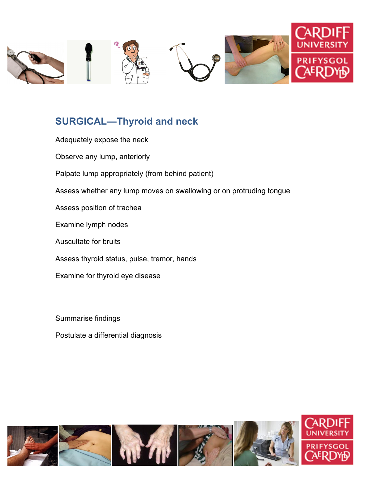

# **SURGICAL—Thyroid and neck**

| Adequately expose the neck                                          |
|---------------------------------------------------------------------|
| Observe any lump, anteriorly                                        |
| Palpate lump appropriately (from behind patient)                    |
| Assess whether any lump moves on swallowing or on protruding tongue |
| Assess position of trachea                                          |
| Examine lymph nodes                                                 |
| <b>Auscultate for bruits</b>                                        |
| Assess thyroid status, pulse, tremor, hands                         |
| Examine for thyroid eye disease                                     |
|                                                                     |

Summarise findings